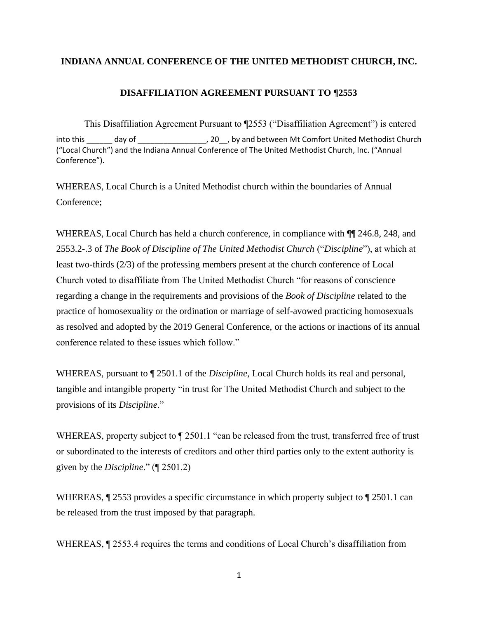#### **INDIANA ANNUAL CONFERENCE OF THE UNITED METHODIST CHURCH, INC.**

### **DISAFFILIATION AGREEMENT PURSUANT TO ¶2553**

This Disaffiliation Agreement Pursuant to ¶2553 ("Disaffiliation Agreement") is entered into this \_\_\_\_\_\_ day of \_\_\_\_\_\_\_\_\_\_\_\_\_\_\_\_\_\_, 20\_\_, by and between Mt Comfort United Methodist Church ("Local Church") and the Indiana Annual Conference of The United Methodist Church, Inc. ("Annual Conference").

WHEREAS, Local Church is a United Methodist church within the boundaries of Annual Conference;

WHEREAS, Local Church has held a church conference, in compliance with  $\P$ [ 246.8, 248, and 2553.2-.3 of *The Book of Discipline of The United Methodist Church* ("*Discipline*"), at which at least two-thirds (2/3) of the professing members present at the church conference of Local Church voted to disaffiliate from The United Methodist Church "for reasons of conscience regarding a change in the requirements and provisions of the *Book of Discipline* related to the practice of homosexuality or the ordination or marriage of self-avowed practicing homosexuals as resolved and adopted by the 2019 General Conference, or the actions or inactions of its annual conference related to these issues which follow."

WHEREAS, pursuant to ¶ 2501.1 of the *Discipline*, Local Church holds its real and personal, tangible and intangible property "in trust for The United Methodist Church and subject to the provisions of its *Discipline*."

WHEREAS, property subject to  $\P$  2501.1 "can be released from the trust, transferred free of trust or subordinated to the interests of creditors and other third parties only to the extent authority is given by the *Discipline*." (¶ 2501.2)

WHEREAS,  $\sqrt{2553}$  provides a specific circumstance in which property subject to  $\sqrt{2501.1}$  can be released from the trust imposed by that paragraph.

WHEREAS, ¶ 2553.4 requires the terms and conditions of Local Church's disaffiliation from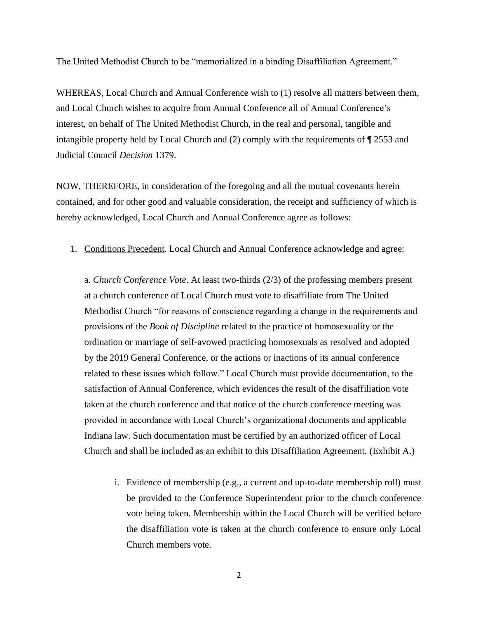The United Methodist Church to be "memorialized in a binding Disaffiliation Agreement."

WHEREAS, Local Church and Annual Conference wish to (1) resolve all matters between them, and Local Church wishes to acquire from Annual Conference all of Annual Conference's interest, on behalf of The United Methodist Church, in the real and personal, tangible and intangible property held by Local Church and (2) comply with the requirements of ¶ 2553 and Judicial Council *Decision* 1379.

NOW, THEREFORE, in consideration of the foregoing and all the mutual covenants herein contained, and for other good and valuable consideration, the receipt and sufficiency of which is hereby acknowledged, Local Church and Annual Conference agree as follows:

1. Conditions Precedent. Local Church and Annual Conference acknowledge and agree:

a. *Church Conference Vote*. At least two-thirds (2/3) of the professing members present at a church conference of Local Church must vote to disaffiliate from The United Methodist Church "for reasons of conscience regarding a change in the requirements and provisions of the *Book of Discipline* related to the practice of homosexuality or the ordination or marriage of self-avowed practicing homosexuals as resolved and adopted by the 2019 General Conference, or the actions or inactions of its annual conference related to these issues which follow." Local Church must provide documentation, to the satisfaction of Annual Conference, which evidences the result of the disaffiliation vote taken at the church conference and that notice of the church conference meeting was provided in accordance with Local Church's organizational documents and applicable Indiana law. Such documentation must be certified by an authorized officer of Local Church and shall be included as an exhibit to this Disaffiliation Agreement. (Exhibit A.)

i. Evidence of membership (e.g., a current and up-to-date membership roll) must be provided to the Conference Superintendent prior to the church conference vote being taken. Membership within the Local Church will be verified before the disaffiliation vote is taken at the church conference to ensure only Local Church members vote.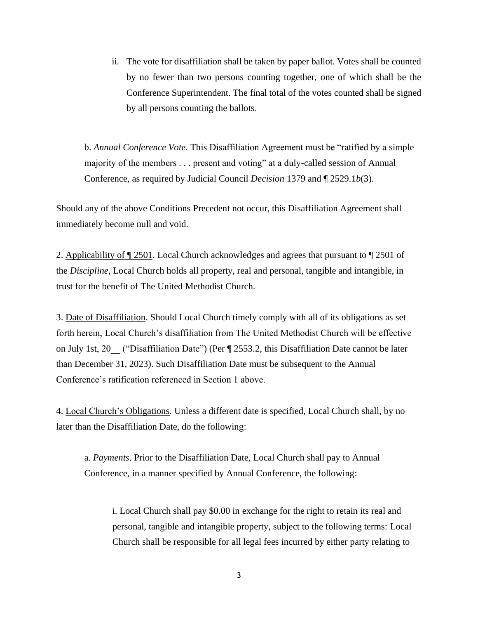ii. The vote for disaffiliation shall be taken by paper ballot. Votes shall be counted by no fewer than two persons counting together, one of which shall be the Conference Superintendent. The final total of the votes counted shall be signed by all persons counting the ballots.

b. *Annual Conference Vote*. This Disaffiliation Agreement must be "ratified by a simple majority of the members . . . present and voting" at a duly-called session of Annual Conference, as required by Judicial Council *Decision* 1379 and ¶ 2529.1*b*(3).

Should any of the above Conditions Precedent not occur, this Disaffiliation Agreement shall immediately become null and void.

2. Applicability of ¶ 2501. Local Church acknowledges and agrees that pursuant to ¶ 2501 of the *Discipline*, Local Church holds all property, real and personal, tangible and intangible, in trust for the benefit of The United Methodist Church.

3. Date of Disaffiliation. Should Local Church timely comply with all of its obligations as set forth herein, Local Church's disaffiliation from The United Methodist Church will be effective on July 1st, 20 ("Disaffiliation Date") (Per ¶ 2553.2, this Disaffiliation Date cannot be later than December 31, 2023). Such Disaffiliation Date must be subsequent to the Annual Conference's ratification referenced in Section 1 above.

4. Local Church's Obligations. Unless a different date is specified, Local Church shall, by no later than the Disaffiliation Date, do the following:

a*. Payments*. Prior to the Disaffiliation Date, Local Church shall pay to Annual Conference, in a manner specified by Annual Conference, the following:

i. Local Church shall pay \$0.00 in exchange for the right to retain its real and personal, tangible and intangible property, subject to the following terms: Local Church shall be responsible for all legal fees incurred by either party relating to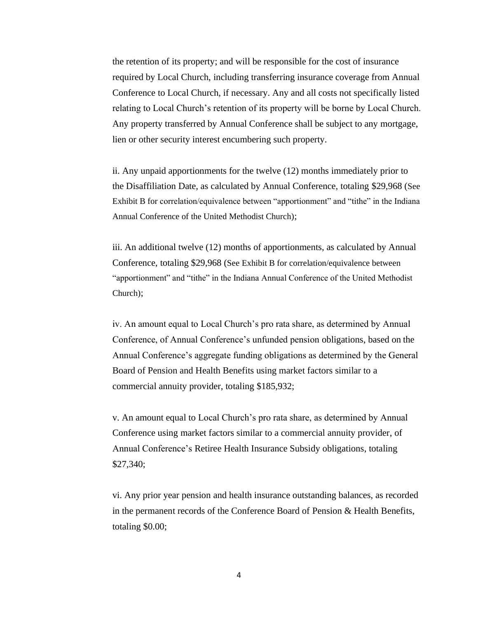the retention of its property; and will be responsible for the cost of insurance required by Local Church, including transferring insurance coverage from Annual Conference to Local Church, if necessary. Any and all costs not specifically listed relating to Local Church's retention of its property will be borne by Local Church. Any property transferred by Annual Conference shall be subject to any mortgage, lien or other security interest encumbering such property.

ii. Any unpaid apportionments for the twelve (12) months immediately prior to the Disaffiliation Date, as calculated by Annual Conference, totaling \$29,968 (See Exhibit B for correlation/equivalence between "apportionment" and "tithe" in the Indiana Annual Conference of the United Methodist Church);

iii. An additional twelve (12) months of apportionments, as calculated by Annual Conference, totaling \$29,968 (See Exhibit B for correlation/equivalence between "apportionment" and "tithe" in the Indiana Annual Conference of the United Methodist Church);

iv. An amount equal to Local Church's pro rata share, as determined by Annual Conference, of Annual Conference's unfunded pension obligations, based on the Annual Conference's aggregate funding obligations as determined by the General Board of Pension and Health Benefits using market factors similar to a commercial annuity provider, totaling \$185,932;

v. An amount equal to Local Church's pro rata share, as determined by Annual Conference using market factors similar to a commercial annuity provider, of Annual Conference's Retiree Health Insurance Subsidy obligations, totaling \$27,340;

vi. Any prior year pension and health insurance outstanding balances, as recorded in the permanent records of the Conference Board of Pension & Health Benefits, totaling \$0.00;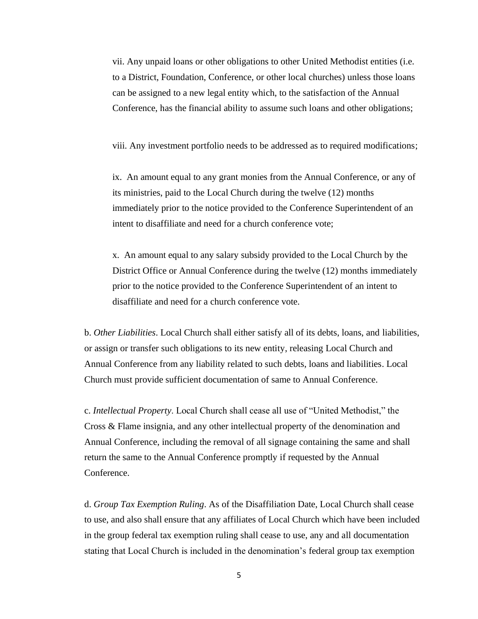vii. Any unpaid loans or other obligations to other United Methodist entities (i.e. to a District, Foundation, Conference, or other local churches) unless those loans can be assigned to a new legal entity which, to the satisfaction of the Annual Conference, has the financial ability to assume such loans and other obligations;

viii. Any investment portfolio needs to be addressed as to required modifications;

ix. An amount equal to any grant monies from the Annual Conference, or any of its ministries, paid to the Local Church during the twelve (12) months immediately prior to the notice provided to the Conference Superintendent of an intent to disaffiliate and need for a church conference vote;

x. An amount equal to any salary subsidy provided to the Local Church by the District Office or Annual Conference during the twelve (12) months immediately prior to the notice provided to the Conference Superintendent of an intent to disaffiliate and need for a church conference vote.

b. *Other Liabilities*. Local Church shall either satisfy all of its debts, loans, and liabilities, or assign or transfer such obligations to its new entity, releasing Local Church and Annual Conference from any liability related to such debts, loans and liabilities. Local Church must provide sufficient documentation of same to Annual Conference.

c. *Intellectual Property*. Local Church shall cease all use of "United Methodist," the Cross & Flame insignia, and any other intellectual property of the denomination and Annual Conference, including the removal of all signage containing the same and shall return the same to the Annual Conference promptly if requested by the Annual Conference.

d. *Group Tax Exemption Ruling*. As of the Disaffiliation Date, Local Church shall cease to use, and also shall ensure that any affiliates of Local Church which have been included in the group federal tax exemption ruling shall cease to use, any and all documentation stating that Local Church is included in the denomination's federal group tax exemption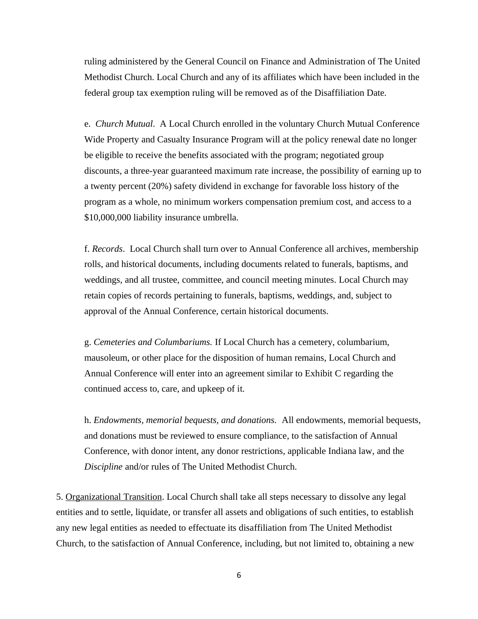ruling administered by the General Council on Finance and Administration of The United Methodist Church. Local Church and any of its affiliates which have been included in the federal group tax exemption ruling will be removed as of the Disaffiliation Date.

e. *Church Mutual*. A Local Church enrolled in the voluntary Church Mutual Conference Wide Property and Casualty Insurance Program will at the policy renewal date no longer be eligible to receive the benefits associated with the program; negotiated group discounts, a three-year guaranteed maximum rate increase, the possibility of earning up to a twenty percent (20%) safety dividend in exchange for favorable loss history of the program as a whole, no minimum workers compensation premium cost, and access to a \$10,000,000 liability insurance umbrella.

f. *Records*. Local Church shall turn over to Annual Conference all archives, membership rolls, and historical documents, including documents related to funerals, baptisms, and weddings, and all trustee, committee, and council meeting minutes. Local Church may retain copies of records pertaining to funerals, baptisms, weddings, and, subject to approval of the Annual Conference, certain historical documents.

g. *Cemeteries and Columbariums.* If Local Church has a cemetery, columbarium, mausoleum, or other place for the disposition of human remains, Local Church and Annual Conference will enter into an agreement similar to Exhibit C regarding the continued access to, care, and upkeep of it.

h. *Endowments, memorial bequests, and donations.* All endowments, memorial bequests, and donations must be reviewed to ensure compliance, to the satisfaction of Annual Conference, with donor intent, any donor restrictions, applicable Indiana law, and the *Discipline* and/or rules of The United Methodist Church.

5. Organizational Transition. Local Church shall take all steps necessary to dissolve any legal entities and to settle, liquidate, or transfer all assets and obligations of such entities, to establish any new legal entities as needed to effectuate its disaffiliation from The United Methodist Church, to the satisfaction of Annual Conference, including, but not limited to, obtaining a new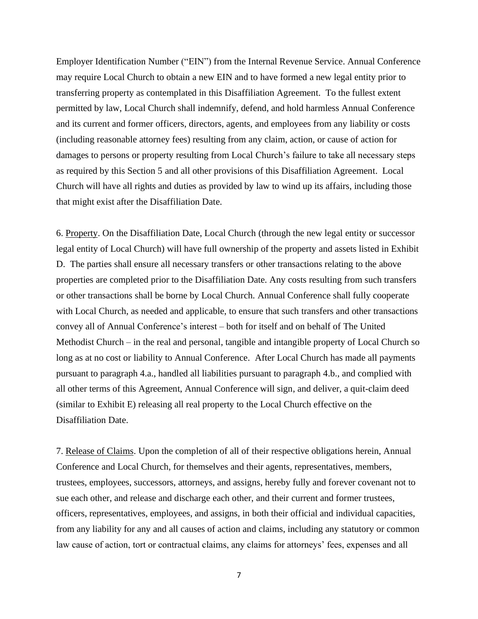Employer Identification Number ("EIN") from the Internal Revenue Service. Annual Conference may require Local Church to obtain a new EIN and to have formed a new legal entity prior to transferring property as contemplated in this Disaffiliation Agreement. To the fullest extent permitted by law, Local Church shall indemnify, defend, and hold harmless Annual Conference and its current and former officers, directors, agents, and employees from any liability or costs (including reasonable attorney fees) resulting from any claim, action, or cause of action for damages to persons or property resulting from Local Church's failure to take all necessary steps as required by this Section 5 and all other provisions of this Disaffiliation Agreement. Local Church will have all rights and duties as provided by law to wind up its affairs, including those that might exist after the Disaffiliation Date.

6. Property. On the Disaffiliation Date, Local Church (through the new legal entity or successor legal entity of Local Church) will have full ownership of the property and assets listed in Exhibit D. The parties shall ensure all necessary transfers or other transactions relating to the above properties are completed prior to the Disaffiliation Date. Any costs resulting from such transfers or other transactions shall be borne by Local Church. Annual Conference shall fully cooperate with Local Church, as needed and applicable, to ensure that such transfers and other transactions convey all of Annual Conference's interest – both for itself and on behalf of The United Methodist Church – in the real and personal, tangible and intangible property of Local Church so long as at no cost or liability to Annual Conference. After Local Church has made all payments pursuant to paragraph 4.a., handled all liabilities pursuant to paragraph 4.b., and complied with all other terms of this Agreement, Annual Conference will sign, and deliver, a quit-claim deed (similar to Exhibit E) releasing all real property to the Local Church effective on the Disaffiliation Date.

7. Release of Claims. Upon the completion of all of their respective obligations herein, Annual Conference and Local Church, for themselves and their agents, representatives, members, trustees, employees, successors, attorneys, and assigns, hereby fully and forever covenant not to sue each other, and release and discharge each other, and their current and former trustees, officers, representatives, employees, and assigns, in both their official and individual capacities, from any liability for any and all causes of action and claims, including any statutory or common law cause of action, tort or contractual claims, any claims for attorneys' fees, expenses and all

7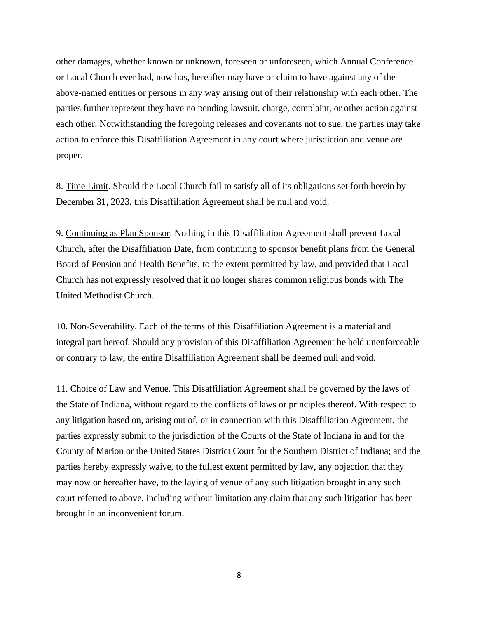other damages, whether known or unknown, foreseen or unforeseen, which Annual Conference or Local Church ever had, now has, hereafter may have or claim to have against any of the above-named entities or persons in any way arising out of their relationship with each other. The parties further represent they have no pending lawsuit, charge, complaint, or other action against each other. Notwithstanding the foregoing releases and covenants not to sue, the parties may take action to enforce this Disaffiliation Agreement in any court where jurisdiction and venue are proper.

8. Time Limit. Should the Local Church fail to satisfy all of its obligations set forth herein by December 31, 2023, this Disaffiliation Agreement shall be null and void.

9. Continuing as Plan Sponsor. Nothing in this Disaffiliation Agreement shall prevent Local Church, after the Disaffiliation Date, from continuing to sponsor benefit plans from the General Board of Pension and Health Benefits, to the extent permitted by law, and provided that Local Church has not expressly resolved that it no longer shares common religious bonds with The United Methodist Church.

10. Non-Severability. Each of the terms of this Disaffiliation Agreement is a material and integral part hereof. Should any provision of this Disaffiliation Agreement be held unenforceable or contrary to law, the entire Disaffiliation Agreement shall be deemed null and void.

11. Choice of Law and Venue. This Disaffiliation Agreement shall be governed by the laws of the State of Indiana, without regard to the conflicts of laws or principles thereof. With respect to any litigation based on, arising out of, or in connection with this Disaffiliation Agreement, the parties expressly submit to the jurisdiction of the Courts of the State of Indiana in and for the County of Marion or the United States District Court for the Southern District of Indiana; and the parties hereby expressly waive, to the fullest extent permitted by law, any objection that they may now or hereafter have, to the laying of venue of any such litigation brought in any such court referred to above, including without limitation any claim that any such litigation has been brought in an inconvenient forum.

8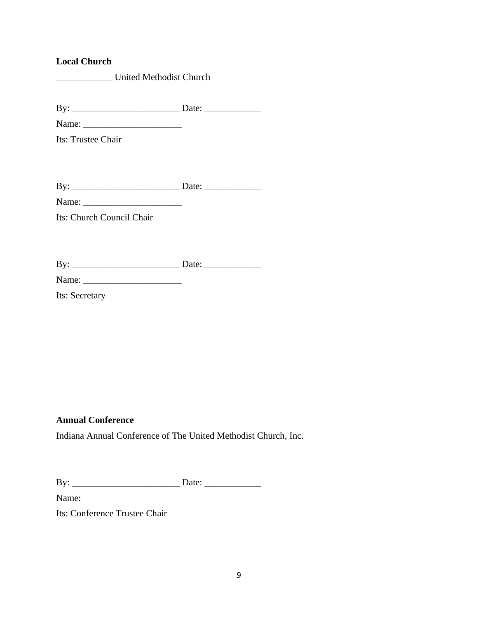### **Local Church**

| United Methodist Church |
|-------------------------|
|                         |

By: \_\_\_\_\_\_\_\_\_\_\_\_\_\_\_\_\_\_\_\_\_\_\_ Date: \_\_\_\_\_\_\_\_\_\_\_\_

Name: \_\_\_\_\_\_\_\_\_\_\_\_\_\_\_\_\_\_\_\_\_ Its: Trustee Chair

By: \_\_\_\_\_\_\_\_\_\_\_\_\_\_\_\_\_\_\_\_\_\_\_ Date: \_\_\_\_\_\_\_\_\_\_\_\_

Name: \_\_\_\_\_\_\_\_\_\_\_\_\_\_\_\_\_\_\_\_\_

Its: Church Council Chair

| By:            | Date: |  |
|----------------|-------|--|
| Name:          |       |  |
| Its: Secretary |       |  |

## **Annual Conference**

Indiana Annual Conference of The United Methodist Church, Inc.

| $\mathbf{D}$<br>D |  |
|-------------------|--|
| -                 |  |

Name:

Its: Conference Trustee Chair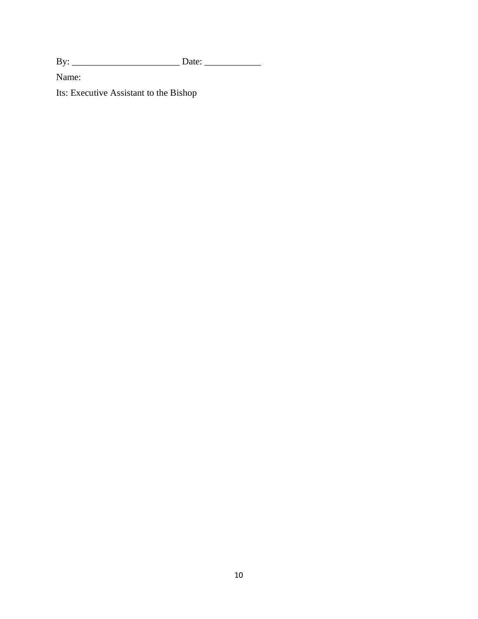By: \_\_\_\_\_\_\_\_\_\_\_\_\_\_\_\_\_\_\_\_\_\_\_ Date: \_\_\_\_\_\_\_\_\_\_\_\_

Name:

Its: Executive Assistant to the Bishop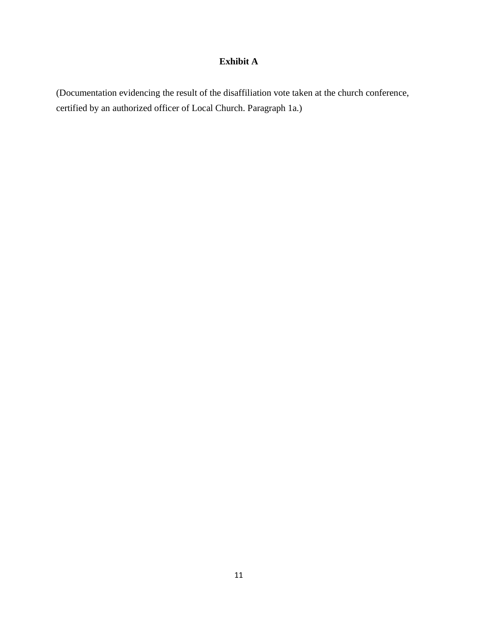# **Exhibit A**

(Documentation evidencing the result of the disaffiliation vote taken at the church conference, certified by an authorized officer of Local Church. Paragraph 1a.)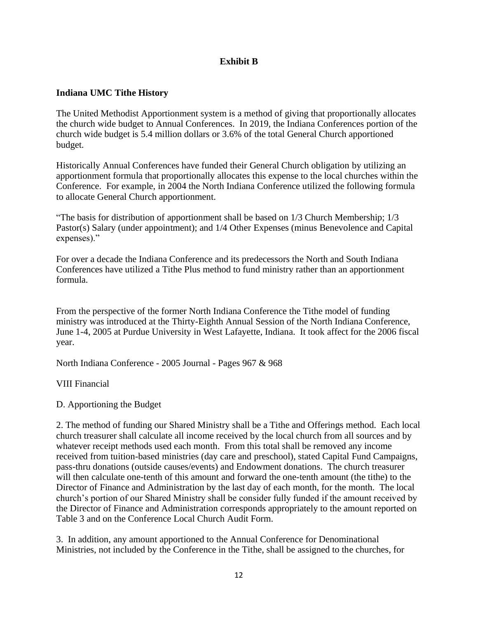## **Exhibit B**

## **Indiana UMC Tithe History**

The United Methodist Apportionment system is a method of giving that proportionally allocates the church wide budget to Annual Conferences. In 2019, the Indiana Conferences portion of the church wide budget is 5.4 million dollars or 3.6% of the total General Church apportioned budget.

Historically Annual Conferences have funded their General Church obligation by utilizing an apportionment formula that proportionally allocates this expense to the local churches within the Conference. For example, in 2004 the North Indiana Conference utilized the following formula to allocate General Church apportionment.

"The basis for distribution of apportionment shall be based on 1/3 Church Membership; 1/3 Pastor(s) Salary (under appointment); and 1/4 Other Expenses (minus Benevolence and Capital expenses)."

For over a decade the Indiana Conference and its predecessors the North and South Indiana Conferences have utilized a Tithe Plus method to fund ministry rather than an apportionment formula.

From the perspective of the former North Indiana Conference the Tithe model of funding ministry was introduced at the Thirty-Eighth Annual Session of the North Indiana Conference, June 1-4, 2005 at Purdue University in West Lafayette, Indiana. It took affect for the 2006 fiscal year.

North Indiana Conference - 2005 Journal - Pages 967 & 968

VIII Financial

D. Apportioning the Budget

2. The method of funding our Shared Ministry shall be a Tithe and Offerings method. Each local church treasurer shall calculate all income received by the local church from all sources and by whatever receipt methods used each month. From this total shall be removed any income received from tuition-based ministries (day care and preschool), stated Capital Fund Campaigns, pass-thru donations (outside causes/events) and Endowment donations. The church treasurer will then calculate one-tenth of this amount and forward the one-tenth amount (the tithe) to the Director of Finance and Administration by the last day of each month, for the month. The local church's portion of our Shared Ministry shall be consider fully funded if the amount received by the Director of Finance and Administration corresponds appropriately to the amount reported on Table 3 and on the Conference Local Church Audit Form.

3. In addition, any amount apportioned to the Annual Conference for Denominational Ministries, not included by the Conference in the Tithe, shall be assigned to the churches, for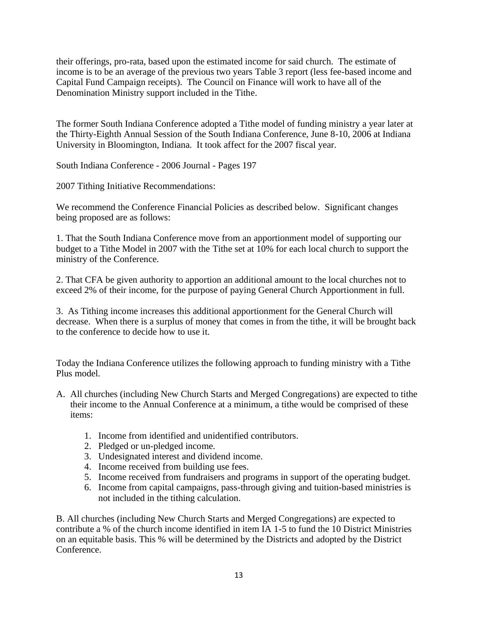their offerings, pro-rata, based upon the estimated income for said church. The estimate of income is to be an average of the previous two years Table 3 report (less fee-based income and Capital Fund Campaign receipts). The Council on Finance will work to have all of the Denomination Ministry support included in the Tithe.

The former South Indiana Conference adopted a Tithe model of funding ministry a year later at the Thirty-Eighth Annual Session of the South Indiana Conference, June 8-10, 2006 at Indiana University in Bloomington, Indiana. It took affect for the 2007 fiscal year.

South Indiana Conference - 2006 Journal - Pages 197

2007 Tithing Initiative Recommendations:

We recommend the Conference Financial Policies as described below. Significant changes being proposed are as follows:

1. That the South Indiana Conference move from an apportionment model of supporting our budget to a Tithe Model in 2007 with the Tithe set at 10% for each local church to support the ministry of the Conference.

2. That CFA be given authority to apportion an additional amount to the local churches not to exceed 2% of their income, for the purpose of paying General Church Apportionment in full.

3. As Tithing income increases this additional apportionment for the General Church will decrease. When there is a surplus of money that comes in from the tithe, it will be brought back to the conference to decide how to use it.

Today the Indiana Conference utilizes the following approach to funding ministry with a Tithe Plus model.

- A. All churches (including New Church Starts and Merged Congregations) are expected to tithe their income to the Annual Conference at a minimum, a tithe would be comprised of these items:
	- 1. Income from identified and unidentified contributors.
	- 2. Pledged or un-pledged income.
	- 3. Undesignated interest and dividend income.
	- 4. Income received from building use fees.
	- 5. Income received from fundraisers and programs in support of the operating budget.
	- 6. Income from capital campaigns, pass-through giving and tuition-based ministries is not included in the tithing calculation.

B. All churches (including New Church Starts and Merged Congregations) are expected to contribute a % of the church income identified in item IA 1-5 to fund the 10 District Ministries on an equitable basis. This % will be determined by the Districts and adopted by the District Conference.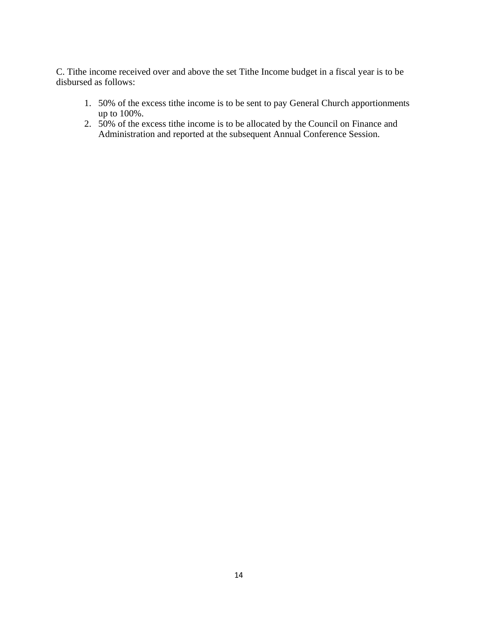C. Tithe income received over and above the set Tithe Income budget in a fiscal year is to be disbursed as follows:

- 1. 50% of the excess tithe income is to be sent to pay General Church apportionments up to 100%.
- 2. 50% of the excess tithe income is to be allocated by the Council on Finance and Administration and reported at the subsequent Annual Conference Session.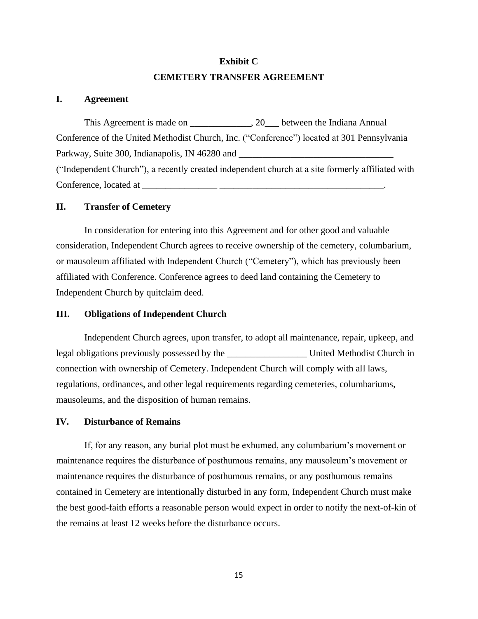# **Exhibit C CEMETERY TRANSFER AGREEMENT**

#### **I. Agreement**

This Agreement is made on \_\_\_\_\_\_\_\_\_\_\_\_, 20\_\_\_ between the Indiana Annual Conference of the United Methodist Church, Inc. ("Conference") located at 301 Pennsylvania Parkway, Suite 300, Indianapolis, IN 46280 and \_\_\_\_\_\_\_\_\_\_\_\_\_\_\_\_\_\_\_\_\_\_\_\_\_\_\_\_\_\_\_\_\_ ("Independent Church"), a recently created independent church at a site formerly affiliated with Conference, located at \_\_\_\_\_\_\_\_\_\_\_\_\_\_\_\_ \_\_\_\_\_\_\_\_\_\_\_\_\_\_\_\_\_\_\_\_\_\_\_\_\_\_\_\_\_\_\_\_\_\_\_.

### **II. Transfer of Cemetery**

In consideration for entering into this Agreement and for other good and valuable consideration, Independent Church agrees to receive ownership of the cemetery, columbarium, or mausoleum affiliated with Independent Church ("Cemetery"), which has previously been affiliated with Conference. Conference agrees to deed land containing the Cemetery to Independent Church by quitclaim deed.

#### **III. Obligations of Independent Church**

Independent Church agrees, upon transfer, to adopt all maintenance, repair, upkeep, and legal obligations previously possessed by the \_\_\_\_\_\_\_\_\_\_\_\_\_\_\_\_\_ United Methodist Church in connection with ownership of Cemetery. Independent Church will comply with all laws, regulations, ordinances, and other legal requirements regarding cemeteries, columbariums, mausoleums, and the disposition of human remains.

#### **IV. Disturbance of Remains**

If, for any reason, any burial plot must be exhumed, any columbarium's movement or maintenance requires the disturbance of posthumous remains, any mausoleum's movement or maintenance requires the disturbance of posthumous remains, or any posthumous remains contained in Cemetery are intentionally disturbed in any form, Independent Church must make the best good-faith efforts a reasonable person would expect in order to notify the next-of-kin of the remains at least 12 weeks before the disturbance occurs.

15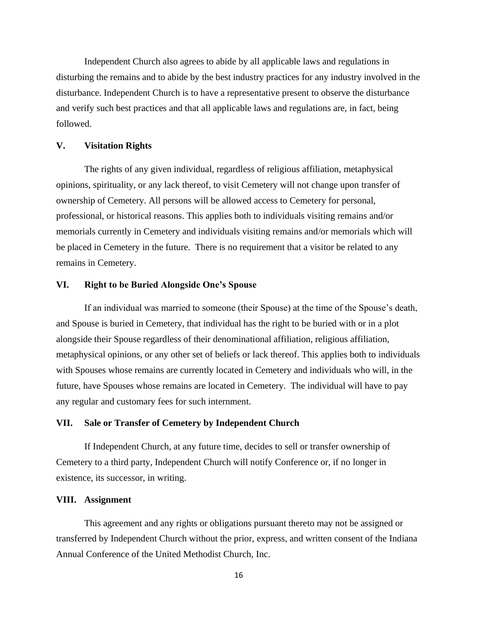Independent Church also agrees to abide by all applicable laws and regulations in disturbing the remains and to abide by the best industry practices for any industry involved in the disturbance. Independent Church is to have a representative present to observe the disturbance and verify such best practices and that all applicable laws and regulations are, in fact, being followed.

#### **V. Visitation Rights**

The rights of any given individual, regardless of religious affiliation, metaphysical opinions, spirituality, or any lack thereof, to visit Cemetery will not change upon transfer of ownership of Cemetery. All persons will be allowed access to Cemetery for personal, professional, or historical reasons. This applies both to individuals visiting remains and/or memorials currently in Cemetery and individuals visiting remains and/or memorials which will be placed in Cemetery in the future. There is no requirement that a visitor be related to any remains in Cemetery.

#### **VI. Right to be Buried Alongside One's Spouse**

If an individual was married to someone (their Spouse) at the time of the Spouse's death, and Spouse is buried in Cemetery, that individual has the right to be buried with or in a plot alongside their Spouse regardless of their denominational affiliation, religious affiliation, metaphysical opinions, or any other set of beliefs or lack thereof. This applies both to individuals with Spouses whose remains are currently located in Cemetery and individuals who will, in the future, have Spouses whose remains are located in Cemetery. The individual will have to pay any regular and customary fees for such internment.

#### **VII. Sale or Transfer of Cemetery by Independent Church**

If Independent Church, at any future time, decides to sell or transfer ownership of Cemetery to a third party, Independent Church will notify Conference or, if no longer in existence, its successor, in writing.

#### **VIII. Assignment**

This agreement and any rights or obligations pursuant thereto may not be assigned or transferred by Independent Church without the prior, express, and written consent of the Indiana Annual Conference of the United Methodist Church, Inc.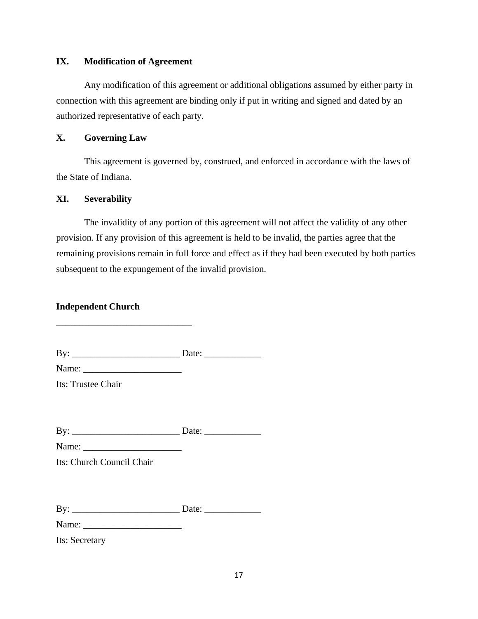#### **IX. Modification of Agreement**

Any modification of this agreement or additional obligations assumed by either party in connection with this agreement are binding only if put in writing and signed and dated by an authorized representative of each party.

#### **X. Governing Law**

This agreement is governed by, construed, and enforced in accordance with the laws of the State of Indiana.

#### **XI. Severability**

The invalidity of any portion of this agreement will not affect the validity of any other provision. If any provision of this agreement is held to be invalid, the parties agree that the remaining provisions remain in full force and effect as if they had been executed by both parties subsequent to the expungement of the invalid provision.

### **Independent Church**

By: \_\_\_\_\_\_\_\_\_\_\_\_\_\_\_\_\_\_\_\_\_\_\_ Date: \_\_\_\_\_\_\_\_\_\_\_\_

Its: Trustee Chair

By: \_\_\_\_\_\_\_\_\_\_\_\_\_\_\_\_\_\_\_\_\_\_\_ Date: \_\_\_\_\_\_\_\_\_\_\_\_

Name: \_\_\_\_\_\_\_\_\_\_\_\_\_\_\_\_\_\_\_\_\_

\_\_\_\_\_\_\_\_\_\_\_\_\_\_\_\_\_\_\_\_\_\_\_\_\_\_\_\_\_

Name:

Its: Church Council Chair

By: \_\_\_\_\_\_\_\_\_\_\_\_\_\_\_\_\_\_\_\_\_\_\_ Date: \_\_\_\_\_\_\_\_\_\_\_\_

Name:

Its: Secretary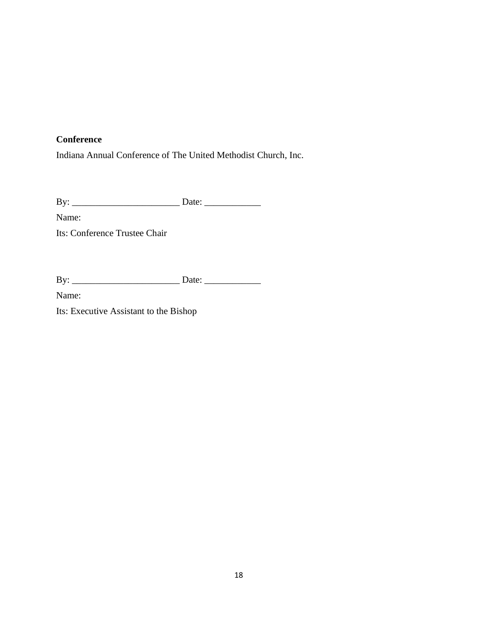# **Conference**

Indiana Annual Conference of The United Methodist Church, Inc.

By: \_\_\_\_\_\_\_\_\_\_\_\_\_\_\_\_\_\_\_\_\_\_\_ Date: \_\_\_\_\_\_\_\_\_\_\_\_

Name:

Its: Conference Trustee Chair

| B |   |
|---|---|
|   | - |

Name:

Its: Executive Assistant to the Bishop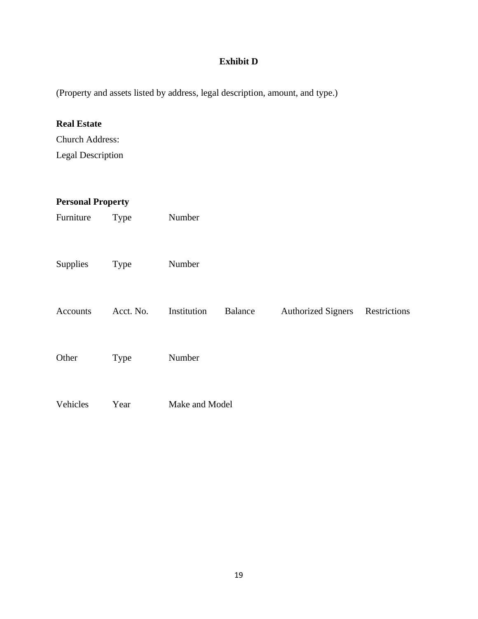# **Exhibit D**

(Property and assets listed by address, legal description, amount, and type.)

# **Real Estate**

Church Address: Legal Description

| <b>Personal Property</b> |             |                |                |                           |              |
|--------------------------|-------------|----------------|----------------|---------------------------|--------------|
| Furniture                | Type        | Number         |                |                           |              |
| Supplies                 | <b>Type</b> | Number         |                |                           |              |
| Accounts                 | Acct. No.   | Institution    | <b>Balance</b> | <b>Authorized Signers</b> | Restrictions |
| Other                    | <b>Type</b> | Number         |                |                           |              |
| Vehicles                 | Year        | Make and Model |                |                           |              |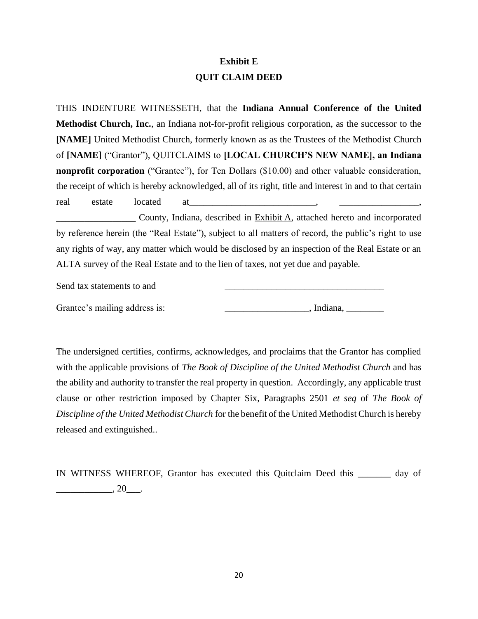# **Exhibit E QUIT CLAIM DEED**

THIS INDENTURE WITNESSETH, that the **Indiana Annual Conference of the United Methodist Church, Inc.**, an Indiana not-for-profit religious corporation, as the successor to the **[NAME]** United Methodist Church, formerly known as as the Trustees of the Methodist Church of **[NAME]** ("Grantor"), QUITCLAIMS to **[LOCAL CHURCH'S NEW NAME], an Indiana nonprofit corporation** ("Grantee"), for Ten Dollars (\$10.00) and other valuable consideration, the receipt of which is hereby acknowledged, all of its right, title and interest in and to that certain real estate located at <u>estate</u> at the set of the state of the state of the state of the state of the state of the state of the state of the state of the state of the state of the state of the state of the state of the sta

**EXHIBIO EXHIBIT A**, attached hereto and incorporated by reference herein (the "Real Estate"), subject to all matters of record, the public's right to use any rights of way, any matter which would be disclosed by an inspection of the Real Estate or an ALTA survey of the Real Estate and to the lien of taxes, not yet due and payable.

Send tax statements to and

Grantee's mailing address is: \_\_\_\_\_\_\_\_\_\_\_\_\_\_\_\_\_\_\_\_\_\_\_\_\_, Indiana, \_\_\_\_\_\_\_\_\_\_\_\_\_\_

The undersigned certifies, confirms, acknowledges, and proclaims that the Grantor has complied with the applicable provisions of *The Book of Discipline of the United Methodist Church* and has the ability and authority to transfer the real property in question. Accordingly, any applicable trust clause or other restriction imposed by Chapter Six, Paragraphs 2501 *et seq* of *The Book of Discipline of the United Methodist Church* for the benefit of the United Methodist Church is hereby released and extinguished..

IN WITNESS WHEREOF, Grantor has executed this Quitclaim Deed this \_\_\_\_\_\_\_ day of  $\frac{1}{20}$ ,  $20$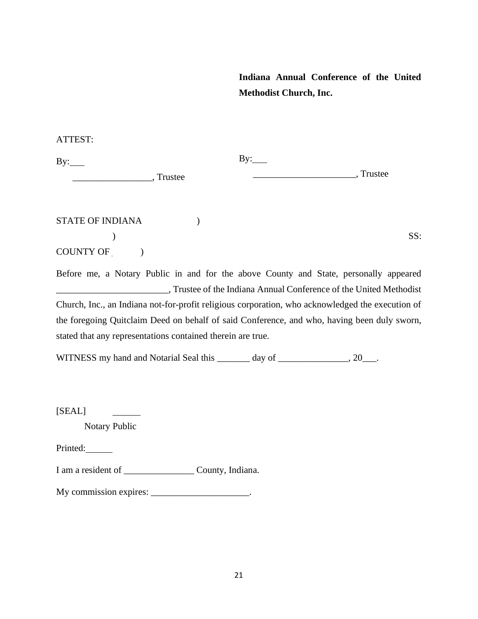**Indiana Annual Conference of the United Methodist Church, Inc.**

ATTEST:

| By:              |         | By: |         |     |
|------------------|---------|-----|---------|-----|
|                  | Trustee |     | Trustee |     |
|                  |         |     |         |     |
| STATE OF INDIANA |         |     |         |     |
|                  |         |     |         | SS: |

| <b>COUNTY OF</b> |  |
|------------------|--|
|------------------|--|

Before me, a Notary Public in and for the above County and State, personally appeared \_\_\_\_\_\_\_\_\_\_\_\_\_\_\_\_\_\_\_\_\_\_\_\_, Trustee of the Indiana Annual Conference of the United Methodist Church, Inc., an Indiana not-for-profit religious corporation, who acknowledged the execution of the foregoing Quitclaim Deed on behalf of said Conference, and who, having been duly sworn, stated that any representations contained therein are true.

WITNESS my hand and Notarial Seal this \_\_\_\_\_\_\_ day of \_\_\_\_\_\_\_\_\_\_\_\_, 20\_\_\_.

[SEAL]

Notary Public

Printed:

I am a resident of \_\_\_\_\_\_\_\_\_\_\_\_\_\_\_ County, Indiana.

My commission expires: \_\_\_\_\_\_\_\_\_\_\_\_\_\_\_\_\_\_\_\_\_\_.